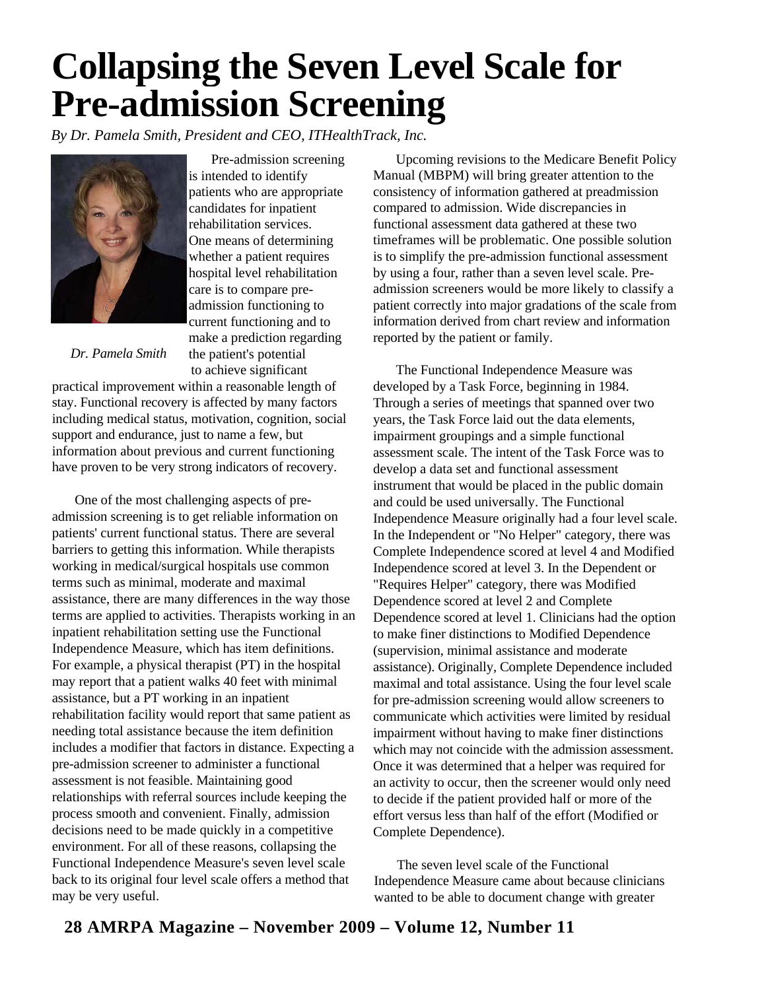## **Collapsing the Seven Level Scale for Pre-admission Screening**

*By Dr. Pamela Smith, President and CEO, ITHealthTrack, Inc.*



Pre-admission screening is intended to identify patients who are appropriate candidates for inpatient rehabilitation services. One means of determining whether a patient requires hospital level rehabilitation care is to compare preadmission functioning to current functioning and to make a prediction regarding the patient's potential to achieve significant

*Dr. Pamela Smith*

practical improvement within a reasonable length of stay. Functional recovery is affected by many factors including medical status, motivation, cognition, social support and endurance, just to name a few, but information about previous and current functioning have proven to be very strong indicators of recovery.

One of the most challenging aspects of preadmission screening is to get reliable information on patients' current functional status. There are several barriers to getting this information. While therapists working in medical/surgical hospitals use common terms such as minimal, moderate and maximal assistance, there are many differences in the way those terms are applied to activities. Therapists working in an inpatient rehabilitation setting use the Functional Independence Measure, which has item definitions. For example, a physical therapist (PT) in the hospital may report that a patient walks 40 feet with minimal assistance, but a PT working in an inpatient rehabilitation facility would report that same patient as needing total assistance because the item definition includes a modifier that factors in distance. Expecting a pre-admission screener to administer a functional assessment is not feasible. Maintaining good relationships with referral sources include keeping the process smooth and convenient. Finally, admission decisions need to be made quickly in a competitive environment. For all of these reasons, collapsing the Functional Independence Measure's seven level scale back to its original four level scale offers a method that may be very useful.

Upcoming revisions to the Medicare Benefit Policy Manual (MBPM) will bring greater attention to the consistency of information gathered at preadmission compared to admission. Wide discrepancies in functional assessment data gathered at these two timeframes will be problematic. One possible solution is to simplify the pre-admission functional assessment by using a four, rather than a seven level scale. Preadmission screeners would be more likely to classify a patient correctly into major gradations of the scale from information derived from chart review and information reported by the patient or family.

The Functional Independence Measure was developed by a Task Force, beginning in 1984. Through a series of meetings that spanned over two years, the Task Force laid out the data elements, impairment groupings and a simple functional assessment scale. The intent of the Task Force was to develop a data set and functional assessment instrument that would be placed in the public domain and could be used universally. The Functional Independence Measure originally had a four level scale. In the Independent or "No Helper" category, there was Complete Independence scored at level 4 and Modified Independence scored at level 3. In the Dependent or "Requires Helper" category, there was Modified Dependence scored at level 2 and Complete Dependence scored at level 1. Clinicians had the option to make finer distinctions to Modified Dependence (supervision, minimal assistance and moderate assistance). Originally, Complete Dependence included maximal and total assistance. Using the four level scale for pre-admission screening would allow screeners to communicate which activities were limited by residual impairment without having to make finer distinctions which may not coincide with the admission assessment. Once it was determined that a helper was required for an activity to occur, then the screener would only need to decide if the patient provided half or more of the effort versus less than half of the effort (Modified or Complete Dependence).

The seven level scale of the Functional Independence Measure came about because clinicians wanted to be able to document change with greater